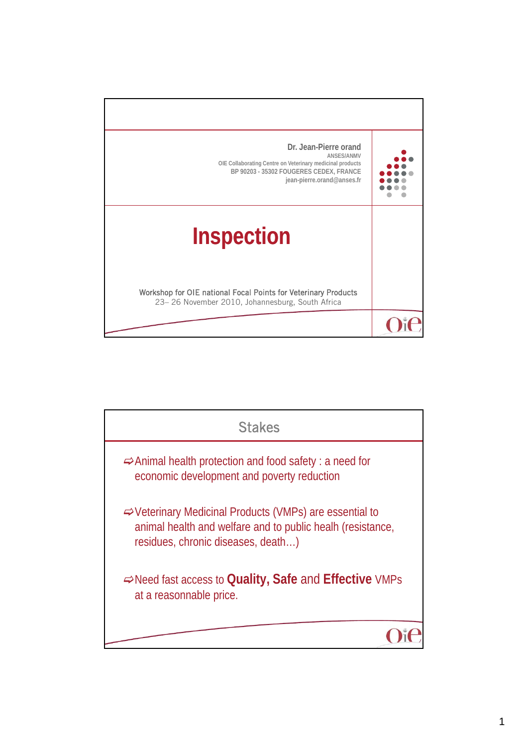

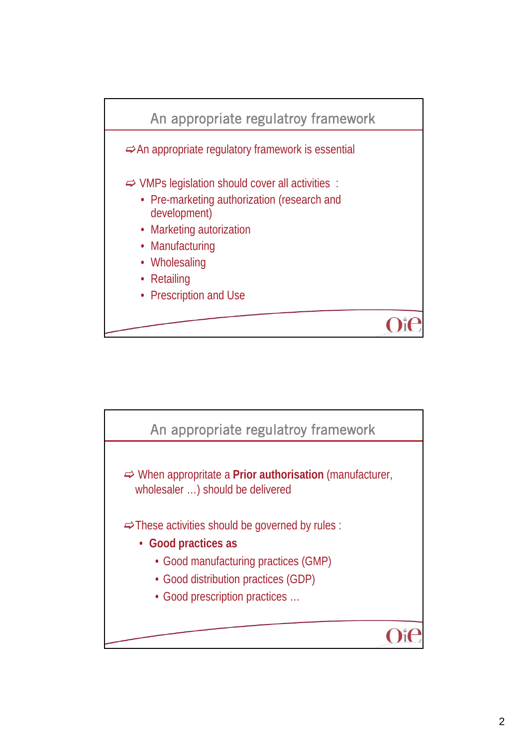

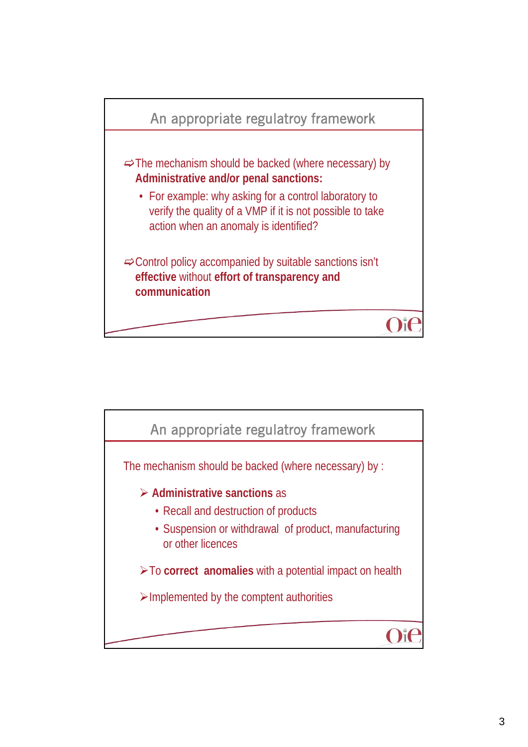

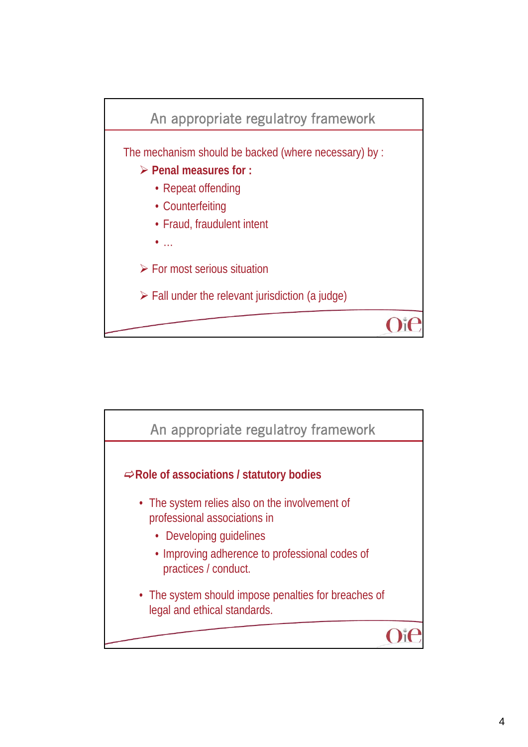

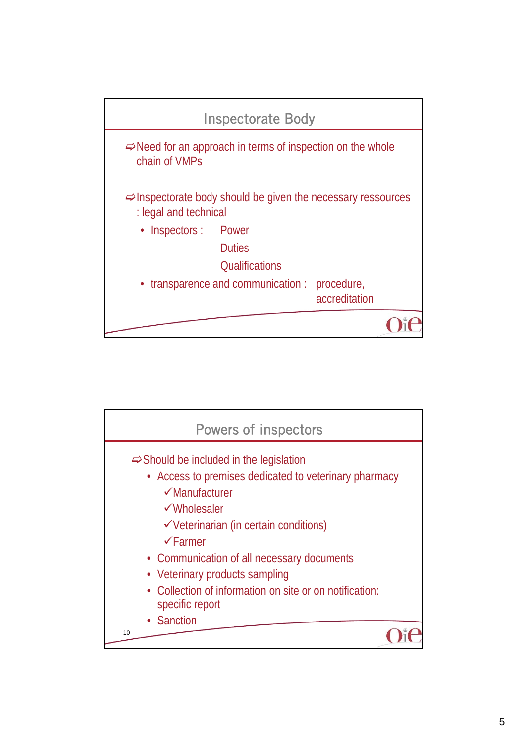

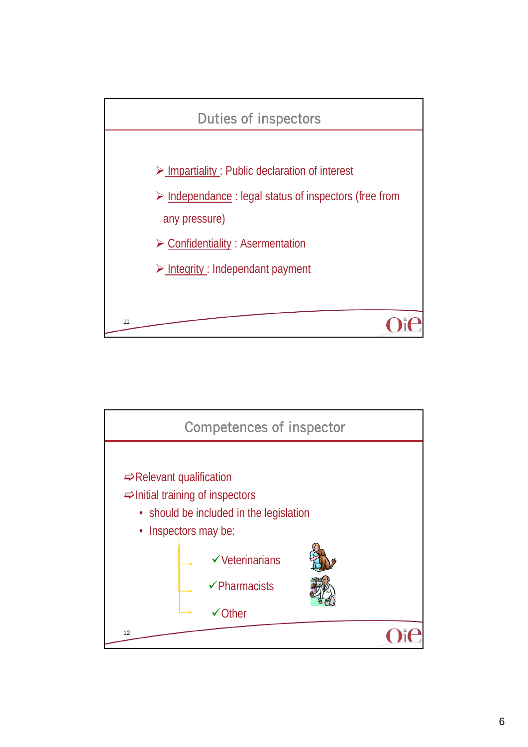

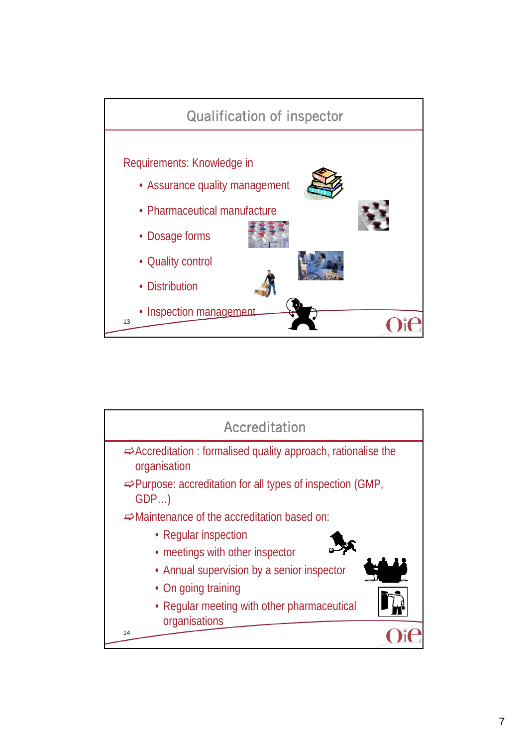

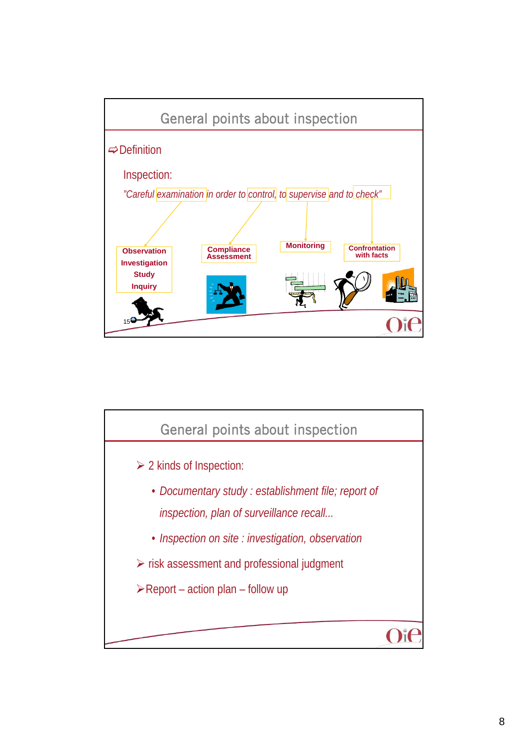

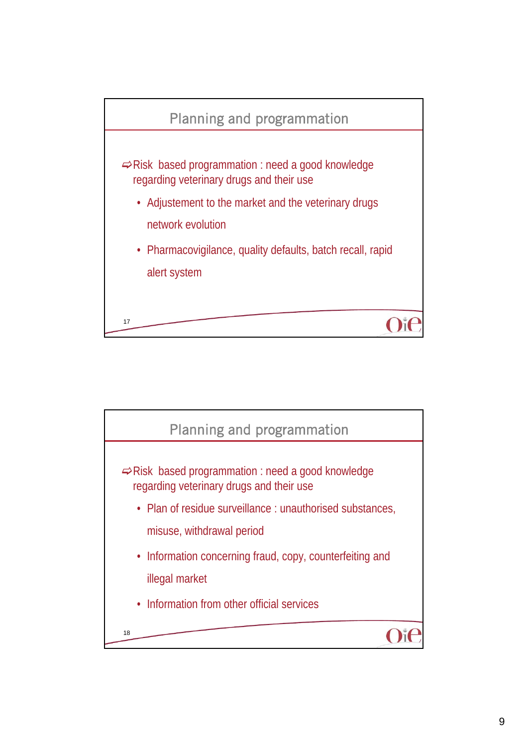

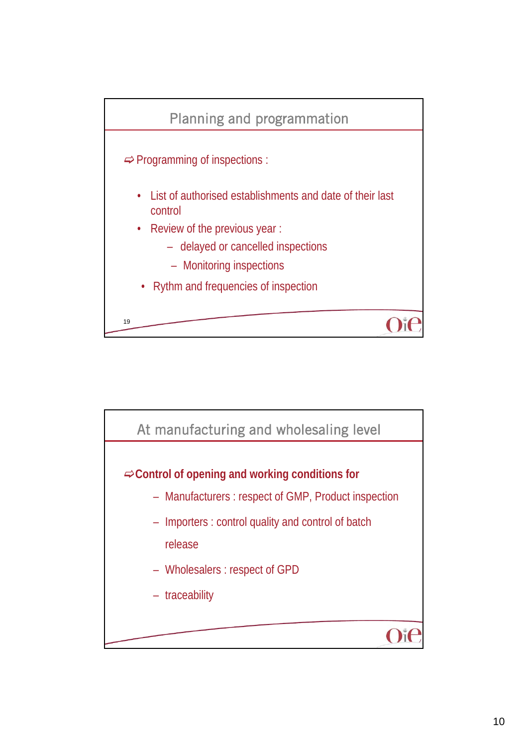

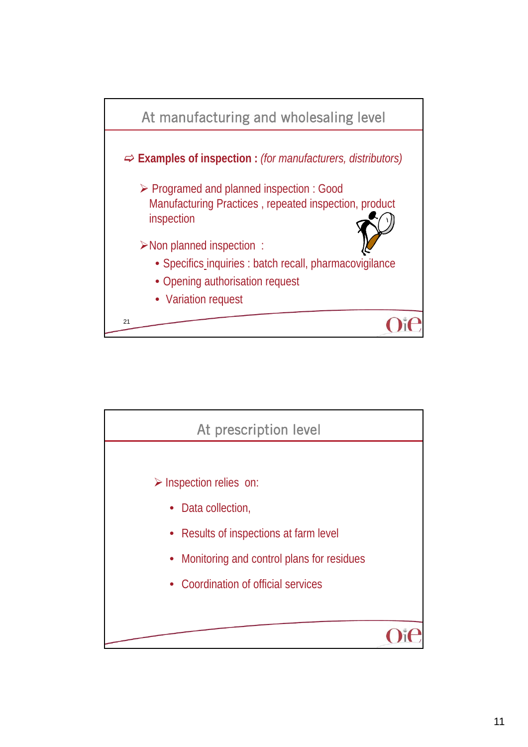

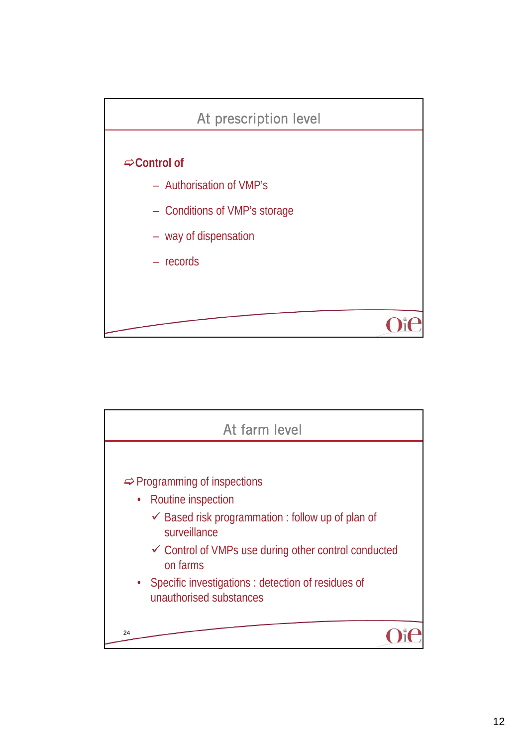

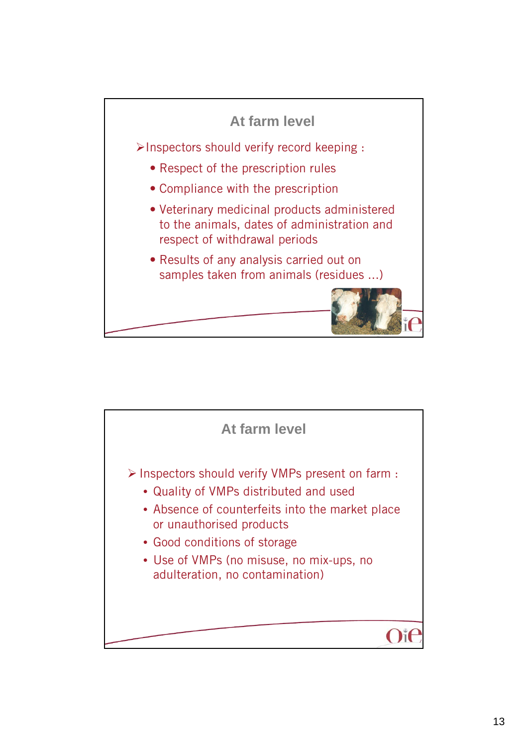